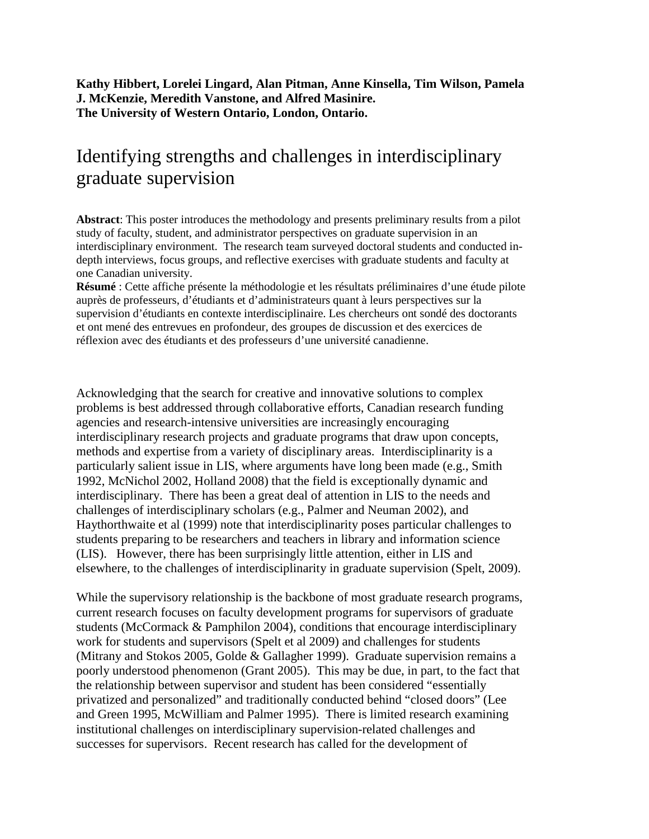**Kathy Hibbert, Lorelei Lingard, Alan Pitman, Anne Kinsella, Tim Wilson, Pamela J. McKenzie, Meredith Vanstone, and Alfred Masinire. The University of Western Ontario, London, Ontario.**

## Identifying strengths and challenges in interdisciplinary graduate supervision

**Abstract**: This poster introduces the methodology and presents preliminary results from a pilot study of faculty, student, and administrator perspectives on graduate supervision in an interdisciplinary environment. The research team surveyed doctoral students and conducted indepth interviews, focus groups, and reflective exercises with graduate students and faculty at one Canadian university.

**Résumé** : Cette affiche présente la méthodologie et les résultats préliminaires d'une étude pilote auprès de professeurs, d'étudiants et d'administrateurs quant à leurs perspectives sur la supervision d'étudiants en contexte interdisciplinaire. Les chercheurs ont sondé des doctorants et ont mené des entrevues en profondeur, des groupes de discussion et des exercices de réflexion avec des étudiants et des professeurs d'une université canadienne.

Acknowledging that the search for creative and innovative solutions to complex problems is best addressed through collaborative efforts, Canadian research funding agencies and research-intensive universities are increasingly encouraging interdisciplinary research projects and graduate programs that draw upon concepts, methods and expertise from a variety of disciplinary areas. Interdisciplinarity is a particularly salient issue in LIS, where arguments have long been made (e.g., Smith 1992, McNichol 2002, Holland 2008) that the field is exceptionally dynamic and interdisciplinary. There has been a great deal of attention in LIS to the needs and challenges of interdisciplinary scholars (e.g., Palmer and Neuman 2002), and Haythorthwaite et al (1999) note that interdisciplinarity poses particular challenges to students preparing to be researchers and teachers in library and information science (LIS). However, there has been surprisingly little attention, either in LIS and elsewhere, to the challenges of interdisciplinarity in graduate supervision (Spelt, 2009).

While the supervisory relationship is the backbone of most graduate research programs, current research focuses on faculty development programs for supervisors of graduate students (McCormack & Pamphilon 2004), conditions that encourage interdisciplinary work for students and supervisors (Spelt et al 2009) and challenges for students (Mitrany and Stokos 2005, Golde & Gallagher 1999). Graduate supervision remains a poorly understood phenomenon (Grant 2005). This may be due, in part, to the fact that the relationship between supervisor and student has been considered "essentially privatized and personalized" and traditionally conducted behind "closed doors" (Lee and Green 1995, McWilliam and Palmer 1995). There is limited research examining institutional challenges on interdisciplinary supervision-related challenges and successes for supervisors. Recent research has called for the development of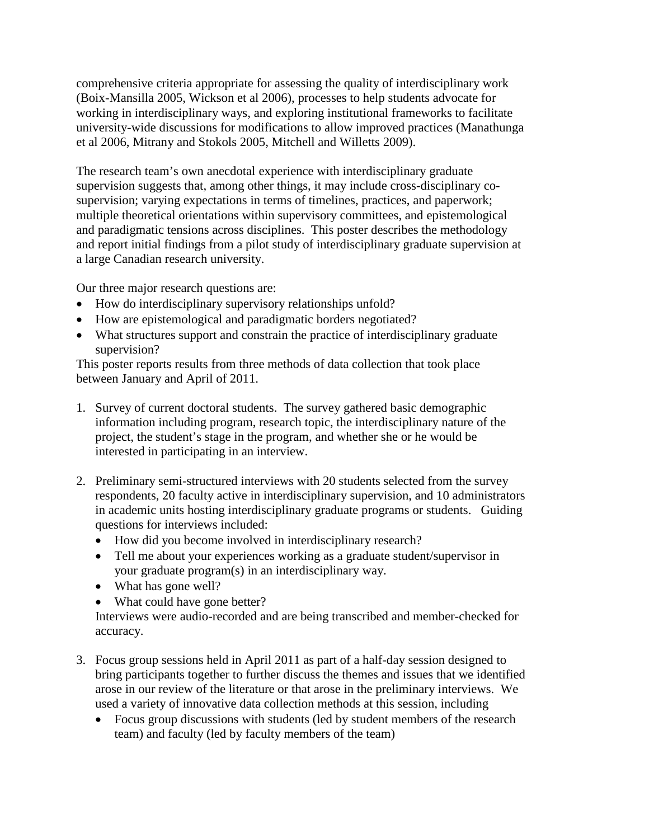comprehensive criteria appropriate for assessing the quality of interdisciplinary work (Boix-Mansilla 2005, Wickson et al 2006), processes to help students advocate for working in interdisciplinary ways, and exploring institutional frameworks to facilitate university-wide discussions for modifications to allow improved practices (Manathunga et al 2006, Mitrany and Stokols 2005, Mitchell and Willetts 2009).

The research team's own anecdotal experience with interdisciplinary graduate supervision suggests that, among other things, it may include cross-disciplinary cosupervision; varying expectations in terms of timelines, practices, and paperwork; multiple theoretical orientations within supervisory committees, and epistemological and paradigmatic tensions across disciplines. This poster describes the methodology and report initial findings from a pilot study of interdisciplinary graduate supervision at a large Canadian research university.

Our three major research questions are:

- How do interdisciplinary supervisory relationships unfold?
- How are epistemological and paradigmatic borders negotiated?
- What structures support and constrain the practice of interdisciplinary graduate supervision?

This poster reports results from three methods of data collection that took place between January and April of 2011.

- 1. Survey of current doctoral students. The survey gathered basic demographic information including program, research topic, the interdisciplinary nature of the project, the student's stage in the program, and whether she or he would be interested in participating in an interview.
- 2. Preliminary semi-structured interviews with 20 students selected from the survey respondents, 20 faculty active in interdisciplinary supervision, and 10 administrators in academic units hosting interdisciplinary graduate programs or students. Guiding questions for interviews included:
	- How did you become involved in interdisciplinary research?
	- Tell me about your experiences working as a graduate student/supervisor in your graduate program(s) in an interdisciplinary way.
	- What has gone well?
	- What could have gone better?

Interviews were audio-recorded and are being transcribed and member-checked for accuracy.

- 3. Focus group sessions held in April 2011 as part of a half-day session designed to bring participants together to further discuss the themes and issues that we identified arose in our review of the literature or that arose in the preliminary interviews. We used a variety of innovative data collection methods at this session, including
	- Focus group discussions with students (led by student members of the research team) and faculty (led by faculty members of the team)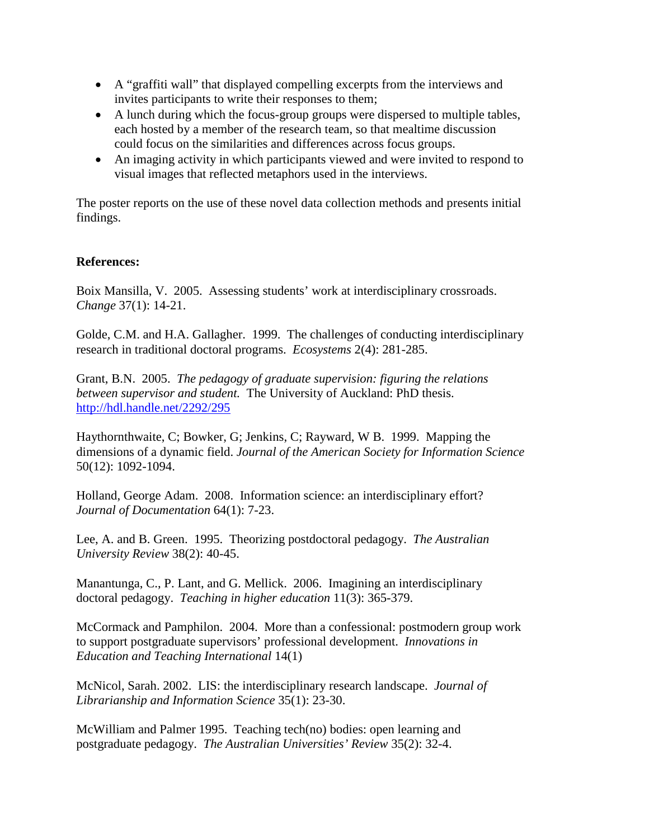- A "graffiti wall" that displayed compelling excerpts from the interviews and invites participants to write their responses to them;
- A lunch during which the focus-group groups were dispersed to multiple tables, each hosted by a member of the research team, so that mealtime discussion could focus on the similarities and differences across focus groups.
- An imaging activity in which participants viewed and were invited to respond to visual images that reflected metaphors used in the interviews.

The poster reports on the use of these novel data collection methods and presents initial findings.

## **References:**

Boix Mansilla, V. 2005. Assessing students' work at interdisciplinary crossroads. *Change* 37(1): 14-21.

Golde, C.M. and H.A. Gallagher. 1999. The challenges of conducting interdisciplinary research in traditional doctoral programs. *Ecosystems* 2(4): 281-285.

Grant, B.N. 2005. *The pedagogy of graduate supervision: figuring the relations between supervisor and student.* The University of Auckland: PhD thesis. <http://hdl.handle.net/2292/295>

Haythornthwaite, C; Bowker, G; Jenkins, C; Rayward, W B. 1999. Mapping the dimensions of a dynamic field. *Journal of the American Society for Information Science*  50(12): 1092-1094.

Holland, George Adam. 2008. Information science: an interdisciplinary effort? *Journal of Documentation* 64(1): 7-23.

Lee, A. and B. Green. 1995. Theorizing postdoctoral pedagogy. *The Australian University Review* 38(2): 40-45.

Manantunga, C., P. Lant, and G. Mellick. 2006. Imagining an interdisciplinary doctoral pedagogy. *Teaching in higher education* 11(3): 365-379.

McCormack and Pamphilon. 2004. More than a confessional: postmodern group work to support postgraduate supervisors' professional development. *Innovations in Education and Teaching International* 14(1)

McNicol, Sarah. 2002. LIS: the interdisciplinary research landscape. *Journal of Librarianship and Information Science* 35(1): 23-30.

McWilliam and Palmer 1995. Teaching tech(no) bodies: open learning and postgraduate pedagogy. *The Australian Universities' Review* 35(2): 32-4.